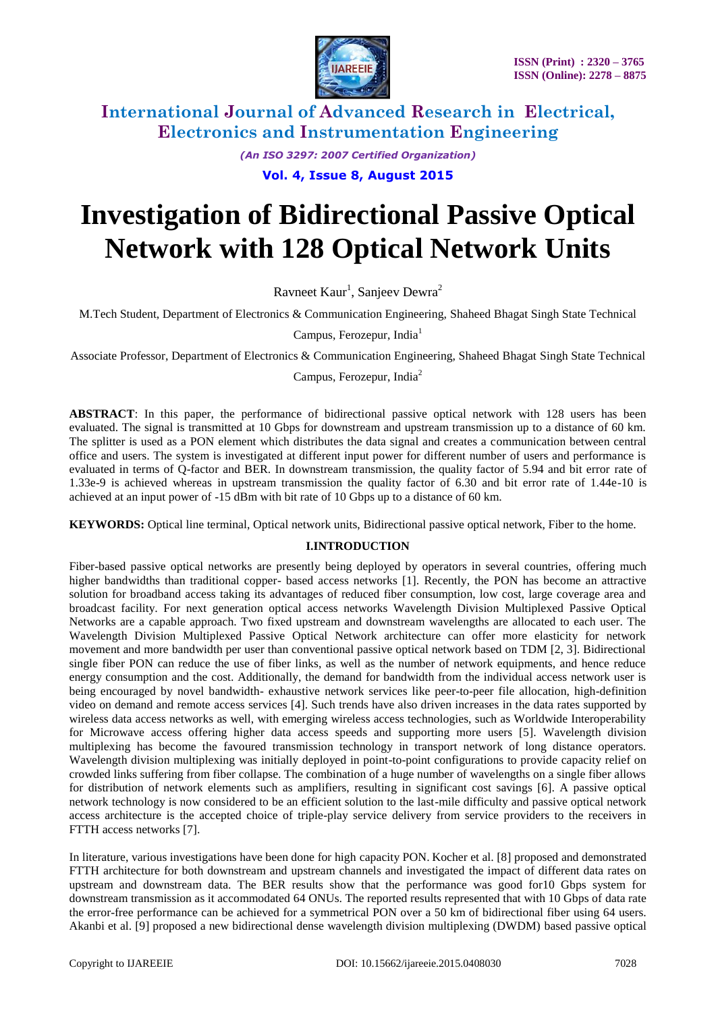

*(An ISO 3297: 2007 Certified Organization)*

### **Vol. 4, Issue 8, August 2015**

# **Investigation of Bidirectional Passive Optical Network with 128 Optical Network Units**

Ravneet Kaur<sup>1</sup>, Sanjeev Dewra<sup>2</sup>

M.Tech Student, Department of Electronics & Communication Engineering, Shaheed Bhagat Singh State Technical

Campus, Ferozepur, India<sup>1</sup>

Associate Professor, Department of Electronics & Communication Engineering, Shaheed Bhagat Singh State Technical

Campus, Ferozepur, India<sup>2</sup>

**ABSTRACT**: In this paper, the performance of bidirectional passive optical network with 128 users has been evaluated. The signal is transmitted at 10 Gbps for downstream and upstream transmission up to a distance of 60 km. The splitter is used as a PON element which distributes the data signal and creates a communication between central office and users. The system is investigated at different input power for different number of users and performance is evaluated in terms of Q-factor and BER. In downstream transmission, the quality factor of 5.94 and bit error rate of 1.33e-9 is achieved whereas in upstream transmission the quality factor of 6.30 and bit error rate of 1.44e-10 is achieved at an input power of -15 dBm with bit rate of 10 Gbps up to a distance of 60 km.

**KEYWORDS:** Optical line terminal, Optical network units, Bidirectional passive optical network, Fiber to the home.

#### **I.INTRODUCTION**

Fiber-based passive optical networks are presently being deployed by operators in several countries, offering much higher bandwidths than traditional copper- based access networks [1]. Recently, the PON has become an attractive solution for broadband access taking its advantages of reduced fiber consumption, low cost, large coverage area and broadcast facility. For next generation optical access networks Wavelength Division Multiplexed Passive Optical Networks are a capable approach. Two fixed upstream and downstream wavelengths are allocated to each user. The Wavelength Division Multiplexed Passive Optical Network architecture can offer more elasticity for network movement and more bandwidth per user than conventional passive optical network based on TDM [2, 3]. Bidirectional single fiber PON can reduce the use of fiber links, as well as the number of network equipments, and hence reduce energy consumption and the cost. Additionally, the demand for bandwidth from the individual access network user is being encouraged by novel bandwidth- exhaustive network services like peer-to-peer file allocation, high-definition video on demand and remote access services [4]. Such trends have also driven increases in the data rates supported by wireless data access networks as well, with emerging wireless access technologies, such as Worldwide Interoperability for Microwave access offering higher data access speeds and supporting more users [5]. Wavelength division multiplexing has become the favoured transmission technology in transport network of long distance operators. Wavelength division multiplexing was initially deployed in point-to-point configurations to provide capacity relief on crowded links suffering from fiber collapse. The combination of a huge number of wavelengths on a single fiber allows for distribution of network elements such as amplifiers, resulting in significant cost savings [6]. A passive optical network technology is now considered to be an efficient solution to the last-mile difficulty and passive optical network access architecture is the accepted choice of triple-play service delivery from service providers to the receivers in FTTH access networks [7].

In literature, various investigations have been done for high capacity PON. Kocher et al. [8] proposed and demonstrated FTTH architecture for both downstream and upstream channels and investigated the impact of different data rates on upstream and downstream data. The BER results show that the performance was good for10 Gbps system for downstream transmission as it accommodated 64 ONUs. The reported results represented that with 10 Gbps of data rate the error-free performance can be achieved for a symmetrical PON over a 50 km of bidirectional fiber using 64 users. Akanbi et al. [9] proposed a new bidirectional dense wavelength division multiplexing (DWDM) based passive optical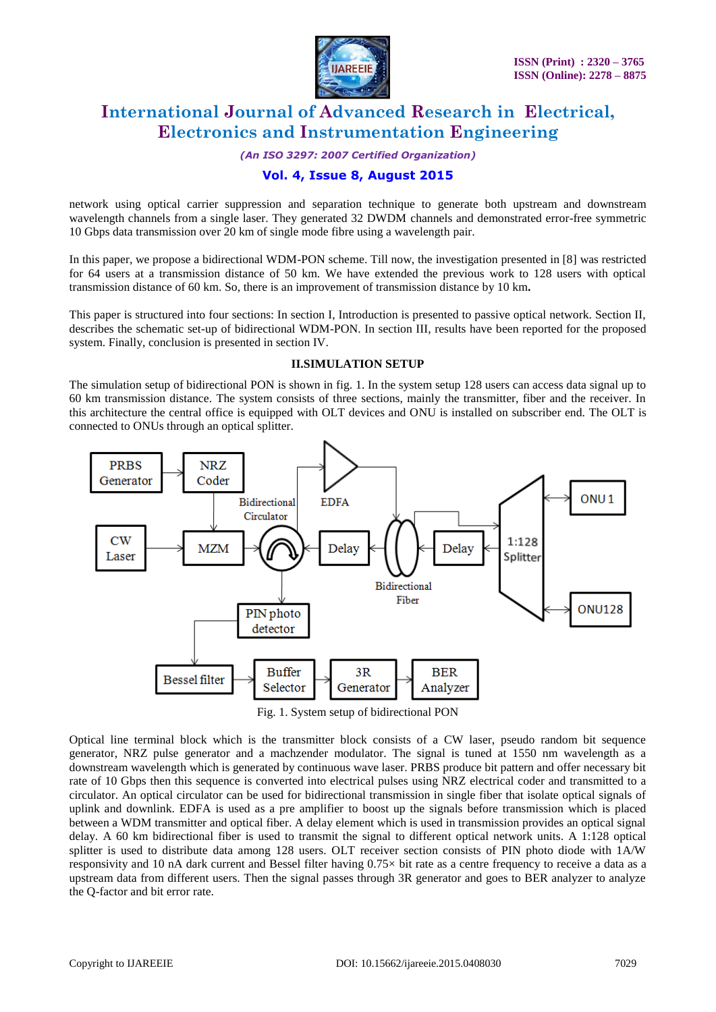

*(An ISO 3297: 2007 Certified Organization)*

### **Vol. 4, Issue 8, August 2015**

network using optical carrier suppression and separation technique to generate both upstream and downstream wavelength channels from a single laser. They generated 32 DWDM channels and demonstrated error-free symmetric 10 Gbps data transmission over 20 km of single mode fibre using a wavelength pair.

In this paper, we propose a bidirectional WDM-PON scheme. Till now, the investigation presented in [8] was restricted for 64 users at a transmission distance of 50 km. We have extended the previous work to 128 users with optical transmission distance of 60 km. So, there is an improvement of transmission distance by 10 km**.** 

This paper is structured into four sections: In section I, Introduction is presented to passive optical network. Section II, describes the schematic set-up of bidirectional WDM-PON. In section III, results have been reported for the proposed system. Finally, conclusion is presented in section IV.

#### **II.SIMULATION SETUP**

The simulation setup of bidirectional PON is shown in fig. 1. In the system setup 128 users can access data signal up to 60 km transmission distance. The system consists of three sections, mainly the transmitter, fiber and the receiver. In this architecture the central office is equipped with OLT devices and ONU is installed on subscriber end. The OLT is connected to ONUs through an optical splitter.



Fig. 1. System setup of bidirectional PON

Optical line terminal block which is the transmitter block consists of a CW laser, pseudo random bit sequence generator, NRZ pulse generator and a machzender modulator. The signal is tuned at 1550 nm wavelength as a downstream wavelength which is generated by continuous wave laser. PRBS produce bit pattern and offer necessary bit rate of 10 Gbps then this sequence is converted into electrical pulses using NRZ electrical coder and transmitted to a circulator. An optical circulator can be used for bidirectional transmission in single fiber that isolate optical signals of uplink and downlink. EDFA is used as a pre amplifier to boost up the signals before transmission which is placed between a WDM transmitter and optical fiber. A delay element which is used in transmission provides an optical signal delay. A 60 km bidirectional fiber is used to transmit the signal to different optical network units. A 1:128 optical splitter is used to distribute data among 128 users. OLT receiver section consists of PIN photo diode with 1A/W responsivity and 10 nA dark current and Bessel filter having 0.75× bit rate as a centre frequency to receive a data as a upstream data from different users. Then the signal passes through 3R generator and goes to BER analyzer to analyze the Q-factor and bit error rate.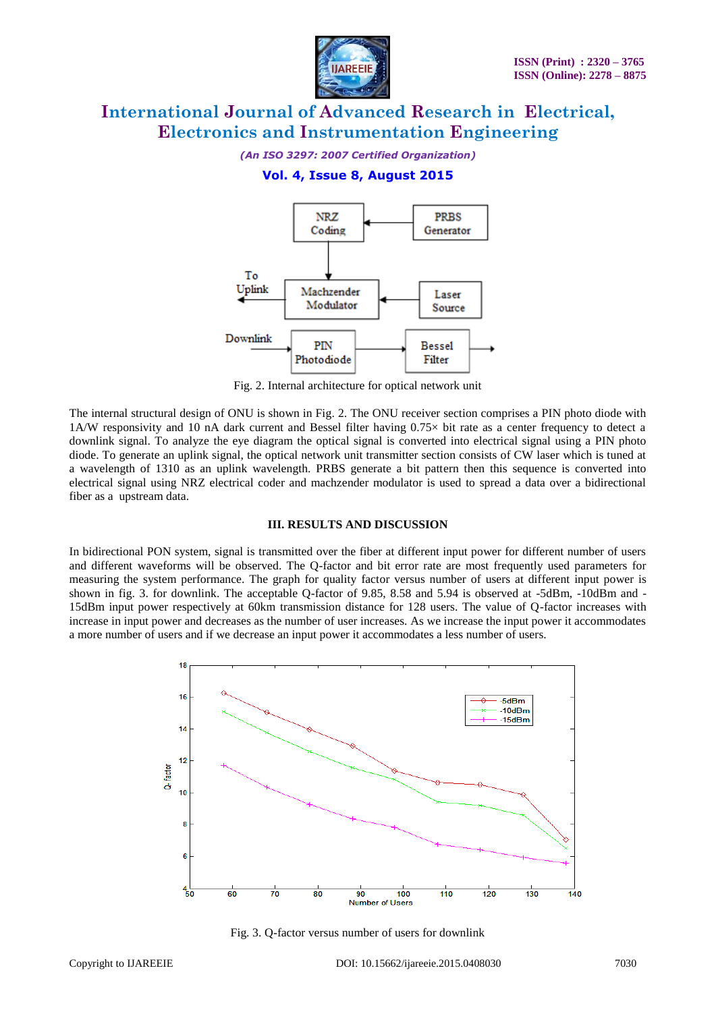

*(An ISO 3297: 2007 Certified Organization)*

**Vol. 4, Issue 8, August 2015**



Fig. 2. Internal architecture for optical network unit

The internal structural design of ONU is shown in Fig. 2. The ONU receiver section comprises a PIN photo diode with 1A/W responsivity and 10 nA dark current and Bessel filter having 0.75× bit rate as a center frequency to detect a downlink signal. To analyze the eye diagram the optical signal is converted into electrical signal using a PIN photo diode. To generate an uplink signal, the optical network unit transmitter section consists of CW laser which is tuned at a wavelength of 1310 as an uplink wavelength. PRBS generate a bit pattern then this sequence is converted into electrical signal using NRZ electrical coder and machzender modulator is used to spread a data over a bidirectional fiber as a upstream data.

#### **III. RESULTS AND DISCUSSION**

In bidirectional PON system, signal is transmitted over the fiber at different input power for different number of users and different waveforms will be observed. The Q-factor and bit error rate are most frequently used parameters for measuring the system performance. The graph for quality factor versus number of users at different input power is shown in fig. 3. for downlink. The acceptable Q-factor of 9.85, 8.58 and 5.94 is observed at -5dBm, -10dBm and - 15dBm input power respectively at 60km transmission distance for 128 users. The value of Q-factor increases with increase in input power and decreases as the number of user increases. As we increase the input power it accommodates a more number of users and if we decrease an input power it accommodates a less number of users.



Fig. 3. Q-factor versus number of users for downlink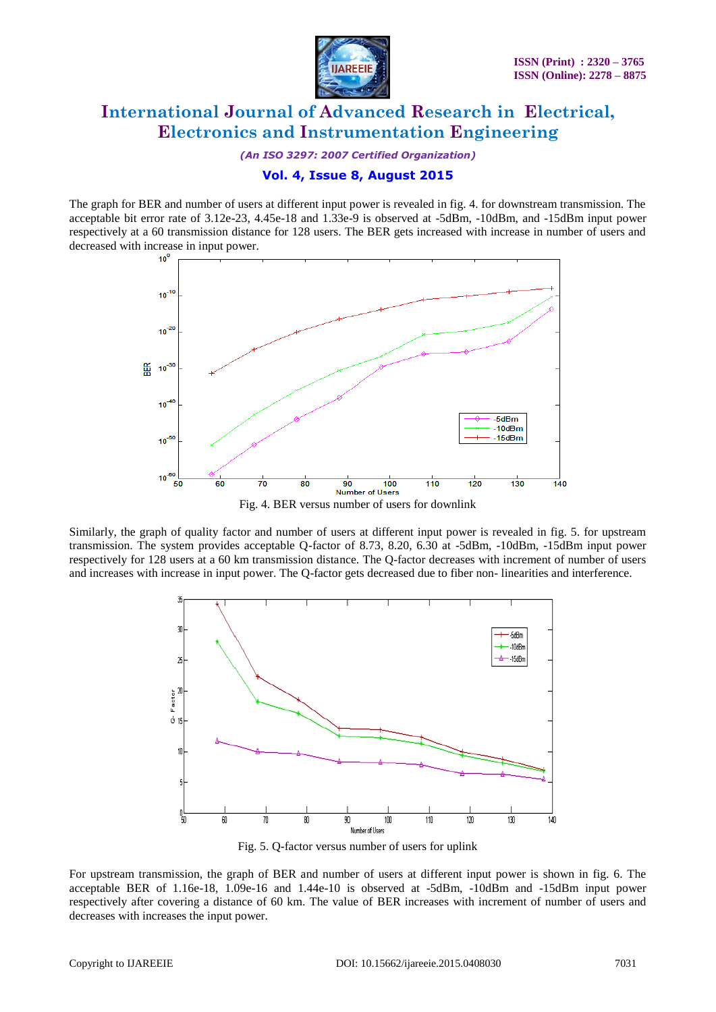

*(An ISO 3297: 2007 Certified Organization)*

### **Vol. 4, Issue 8, August 2015**

The graph for BER and number of users at different input power is revealed in fig. 4. for downstream transmission. The acceptable bit error rate of 3.12e-23, 4.45e-18 and 1.33e-9 is observed at -5dBm, -10dBm, and -15dBm input power respectively at a 60 transmission distance for 128 users. The BER gets increased with increase in number of users and decreased with increase in input power.



Similarly, the graph of quality factor and number of users at different input power is revealed in fig. 5. for upstream transmission. The system provides acceptable Q-factor of 8.73, 8.20, 6.30 at -5dBm, -10dBm, -15dBm input power respectively for 128 users at a 60 km transmission distance. The Q-factor decreases with increment of number of users and increases with increase in input power. The Q-factor gets decreased due to fiber non- linearities and interference.



Fig. 5. Q-factor versus number of users for uplink

For upstream transmission, the graph of BER and number of users at different input power is shown in fig. 6. The acceptable BER of 1.16e-18, 1.09e-16 and 1.44e-10 is observed at -5dBm, -10dBm and -15dBm input power respectively after covering a distance of 60 km. The value of BER increases with increment of number of users and decreases with increases the input power.